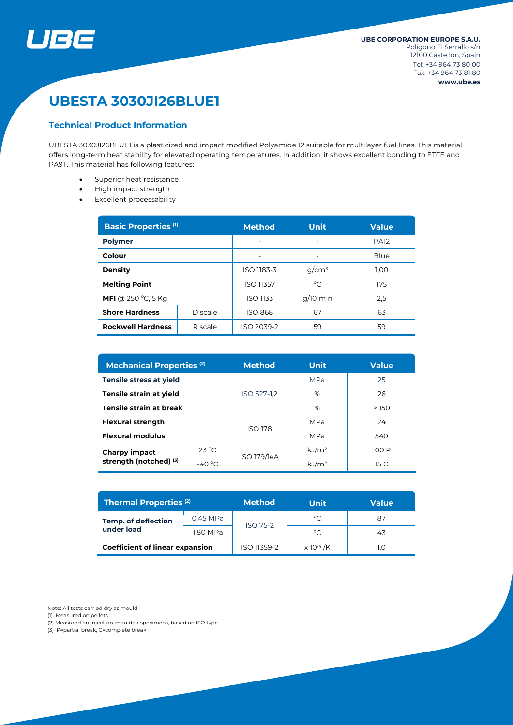

# **UBESTA 3030JI26BLUE1**

## **Technical Product Information**

UBESTA 3030JI26BLUE1 is a plasticized and impact modified Polyamide 12 suitable for multilayer fuel lines. This material offers long-term heat stability for elevated operating temperatures. In addition, it shows excellent bonding to ETFE and PA9T. This material has following features:

- Superior heat resistance
- High impact strength
- Excellent processability

| <b>Basic Properties (1)</b>         |         | <b>Method</b>            | <b>Unit</b> | <b>Value</b> |  |
|-------------------------------------|---------|--------------------------|-------------|--------------|--|
| <b>Polymer</b>                      |         | $\overline{\phantom{0}}$ |             | <b>PA12</b>  |  |
| Colour                              |         |                          |             | Blue         |  |
| <b>Density</b>                      |         | ISO 1183-3               | $q/cm^3$    | 1.00         |  |
| <b>Melting Point</b>                |         | <b>ISO 11357</b>         | °C          | 175          |  |
| <b>MFI</b> @ 250 °C, 5 Kg           |         | <b>ISO 1133</b>          | $q/10$ min  | 2,5          |  |
| <b>Shore Hardness</b>               | D scale | <b>ISO 868</b>           | 67          | 63           |  |
| <b>Rockwell Hardness</b><br>R scale |         | ISO 2039-2               | 59          | 59           |  |

| <b>Mechanical Properties (2)</b>               |                 | <b>Method</b>  | <b>Unit</b>       | <b>Value</b> |  |
|------------------------------------------------|-----------------|----------------|-------------------|--------------|--|
| <b>Tensile stress at yield</b>                 |                 |                | <b>MPa</b>        | 25           |  |
| Tensile strain at yield                        |                 | ISO 527-1.2    | %                 | 26           |  |
| Tensile strain at break                        |                 |                | %                 | >150         |  |
| <b>Flexural strength</b>                       |                 | <b>ISO 178</b> | <b>MPa</b>        | 24           |  |
| <b>Flexural modulus</b>                        |                 |                | <b>MPa</b>        | 540          |  |
| <b>Charpy impact</b><br>strength (notched) (3) | $23^{\circ}$ C  | ISO 179/1eA    | kJ/m <sup>2</sup> | 100 P        |  |
|                                                | $-40^{\circ}$ C |                | kJ/m <sup>2</sup> | 15 C         |  |

| <b>Thermal Properties (2)</b>            |          | <b>Method</b>   | <b>Unit</b>                  | <b>Value</b> |  |
|------------------------------------------|----------|-----------------|------------------------------|--------------|--|
| <b>Temp. of deflection</b><br>under load | 0,45 MPa | <b>ISO 75-2</b> | °C                           | 87           |  |
|                                          | 1,80 MPa |                 | °C                           | 43           |  |
| <b>Coefficient of linear expansion</b>   |          | ISO 11359-2     | $\times$ 10 <sup>-4</sup> /K | l.O          |  |

Note: All tests carried dry as mould

(1) Measured on pellets

(2) Measured on injection-moulded specimens, based on ISO type

(3) P=partial break, C=complete break